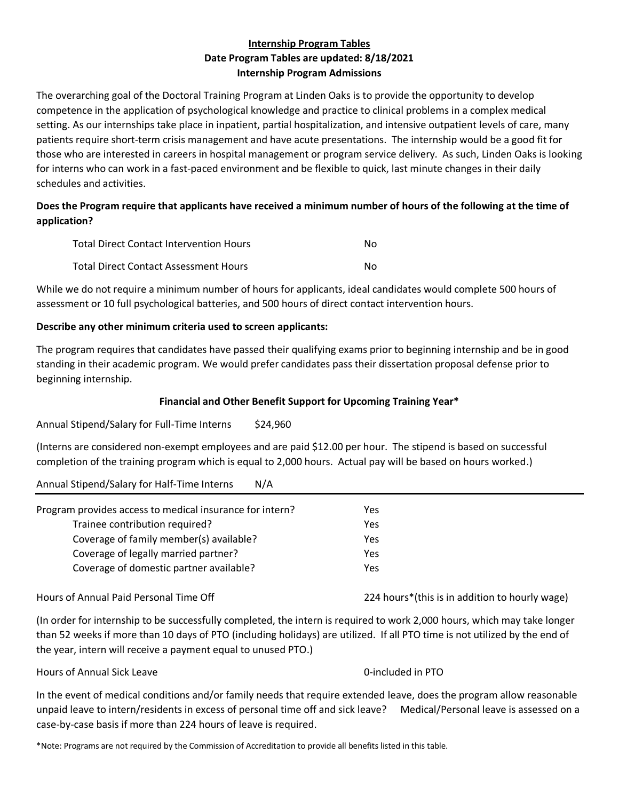## **Internship Program Tables Date Program Tables are updated: 8/18/2021 Internship Program Admissions**

The overarching goal of the Doctoral Training Program at Linden Oaks is to provide the opportunity to develop competence in the application of psychological knowledge and practice to clinical problems in a complex medical setting. As our internships take place in inpatient, partial hospitalization, and intensive outpatient levels of care, many patients require short-term crisis management and have acute presentations. The internship would be a good fit for those who are interested in careers in hospital management or program service delivery. As such, Linden Oaks is looking for interns who can work in a fast-paced environment and be flexible to quick, last minute changes in their daily schedules and activities.

## **Does the Program require that applicants have received a minimum number of hours of the following at the time of application?**

| Total Direct Contact Intervention Hours | Nο |
|-----------------------------------------|----|
| Total Direct Contact Assessment Hours   | N٥ |

While we do not require a minimum number of hours for applicants, ideal candidates would complete 500 hours of assessment or 10 full psychological batteries, and 500 hours of direct contact intervention hours.

# **Describe any other minimum criteria used to screen applicants:**

The program requires that candidates have passed their qualifying exams prior to beginning internship and be in good standing in their academic program. We would prefer candidates pass their dissertation proposal defense prior to beginning internship.

## **Financial and Other Benefit Support for Upcoming Training Year\***

Annual Stipend/Salary for Full-Time Interns \$24,960

(Interns are considered non-exempt employees and are paid \$12.00 per hour. The stipend is based on successful completion of the training program which is equal to 2,000 hours. Actual pay will be based on hours worked.)

Annual Stipend/Salary for Half-Time Interns N/A

| Program provides access to medical insurance for intern? | Yes |  |
|----------------------------------------------------------|-----|--|
| Trainee contribution required?                           | Yes |  |
| Coverage of family member(s) available?                  | Yes |  |
| Coverage of legally married partner?                     | Yes |  |
| Coverage of domestic partner available?                  | Yes |  |
|                                                          |     |  |

Hours of Annual Paid Personal Time Off 224 hours\*(this is in addition to hourly wage)

(In order for internship to be successfully completed, the intern is required to work 2,000 hours, which may take longer than 52 weeks if more than 10 days of PTO (including holidays) are utilized. If all PTO time is not utilized by the end of the year, intern will receive a payment equal to unused PTO.)

Hours of Annual Sick Leave **1988** and 1999 **10** and 1999 **10** and 1999 **10** and 1999 **10** and 1999 **10** and 1999 **10** and 1999 **10** and 1999 **10** and 1999 **10** and 1999 **10** and 1999 **10** and 1999 **10** and 1999 **10** and 19

In the event of medical conditions and/or family needs that require extended leave, does the program allow reasonable unpaid leave to intern/residents in excess of personal time off and sick leave? Medical/Personal leave is assessed on a case-by-case basis if more than 224 hours of leave is required.

\*Note: Programs are not required by the Commission of Accreditation to provide all benefits listed in this table.